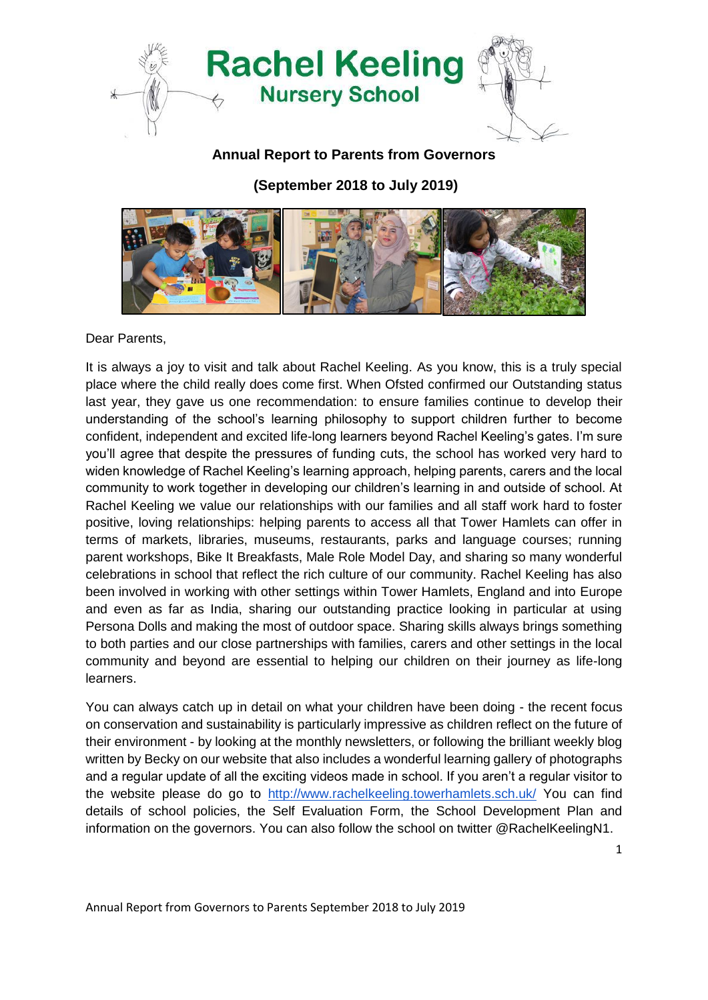

## **Annual Report to Parents from Governors**

**(September 2018 to July 2019)**



Dear Parents,

It is always a joy to visit and talk about Rachel Keeling. As you know, this is a truly special place where the child really does come first. When Ofsted confirmed our Outstanding status last year, they gave us one recommendation: to ensure families continue to develop their understanding of the school's learning philosophy to support children further to become confident, independent and excited life-long learners beyond Rachel Keeling's gates. I'm sure you'll agree that despite the pressures of funding cuts, the school has worked very hard to widen knowledge of Rachel Keeling's learning approach, helping parents, carers and the local community to work together in developing our children's learning in and outside of school. At Rachel Keeling we value our relationships with our families and all staff work hard to foster positive, loving relationships: helping parents to access all that Tower Hamlets can offer in terms of markets, libraries, museums, restaurants, parks and language courses; running parent workshops, Bike It Breakfasts, Male Role Model Day, and sharing so many wonderful celebrations in school that reflect the rich culture of our community. Rachel Keeling has also been involved in working with other settings within Tower Hamlets, England and into Europe and even as far as India, sharing our outstanding practice looking in particular at using Persona Dolls and making the most of outdoor space. Sharing skills always brings something to both parties and our close partnerships with families, carers and other settings in the local community and beyond are essential to helping our children on their journey as life-long learners.

You can always catch up in detail on what your children have been doing - the recent focus on conservation and sustainability is particularly impressive as children reflect on the future of their environment - by looking at the monthly newsletters, or following the brilliant weekly blog written by Becky on our website that also includes a wonderful learning gallery of photographs and a regular update of all the exciting videos made in school. If you aren't a regular visitor to the website please do go to <http://www.rachelkeeling.towerhamlets.sch.uk/> You can find details of school policies, the Self Evaluation Form, the School Development Plan and information on the governors. You can also follow the school on twitter @RachelKeelingN1.

1